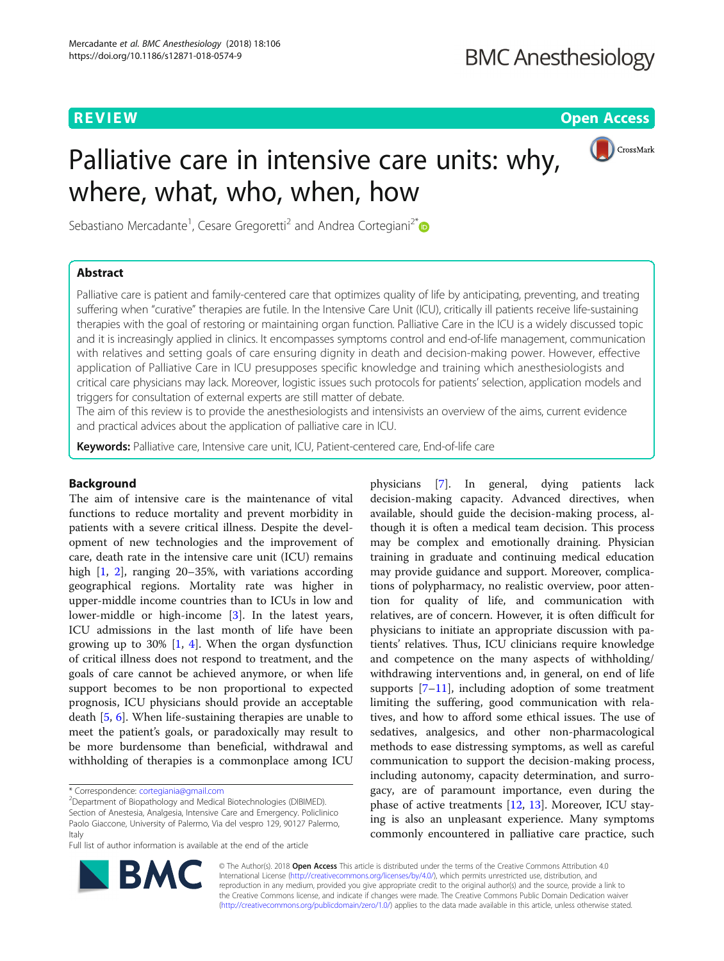**REVIEW CONTROL** CONTROL CONTROL CONTROL CONTROL CONTROL CONTROL CONTROL CONTROL CONTROL CONTROL CONTROL CONTROL CONTROL CONTROL CONTROL CONTROL CONTROL CONTROL CONTROL CONTROL CONTROL CONTROL CONTROL CONTROL CONTROL CONTR

# Palliative care in intensive care units: why, where, what, who, when, how



Sebastiano Mercadante<sup>1</sup>, Cesare Gregoretti<sup>2</sup> and Andrea Cortegiani<sup>2\*</sup>

## Abstract

Palliative care is patient and family-centered care that optimizes quality of life by anticipating, preventing, and treating suffering when "curative" therapies are futile. In the Intensive Care Unit (ICU), critically ill patients receive life-sustaining therapies with the goal of restoring or maintaining organ function. Palliative Care in the ICU is a widely discussed topic and it is increasingly applied in clinics. It encompasses symptoms control and end-of-life management, communication with relatives and setting goals of care ensuring dignity in death and decision-making power. However, effective application of Palliative Care in ICU presupposes specific knowledge and training which anesthesiologists and critical care physicians may lack. Moreover, logistic issues such protocols for patients' selection, application models and triggers for consultation of external experts are still matter of debate.

The aim of this review is to provide the anesthesiologists and intensivists an overview of the aims, current evidence and practical advices about the application of palliative care in ICU.

Keywords: Palliative care, Intensive care unit, ICU, Patient-centered care, End-of-life care

## Background

The aim of intensive care is the maintenance of vital functions to reduce mortality and prevent morbidity in patients with a severe critical illness. Despite the development of new technologies and the improvement of care, death rate in the intensive care unit (ICU) remains high [\[1](#page-4-0), [2](#page-4-0)], ranging 20–35%, with variations according geographical regions. Mortality rate was higher in upper-middle income countries than to ICUs in low and lower-middle or high-income [\[3](#page-4-0)]. In the latest years, ICU admissions in the last month of life have been growing up to 30%  $[1, 4]$  $[1, 4]$  $[1, 4]$  $[1, 4]$ . When the organ dysfunction of critical illness does not respond to treatment, and the goals of care cannot be achieved anymore, or when life support becomes to be non proportional to expected prognosis, ICU physicians should provide an acceptable death [\[5](#page-4-0), [6](#page-4-0)]. When life-sustaining therapies are unable to meet the patient's goals, or paradoxically may result to be more burdensome than beneficial, withdrawal and withholding of therapies is a commonplace among ICU

Department of Biopathology and Medical Biotechnologies (DIBIMED). Section of Anestesia, Analgesia, Intensive Care and Emergency. Policlinico Paolo Giaccone, University of Palermo, Via del vespro 129, 90127 Palermo, Italy

Full list of author information is available at the end of the article

physicians [[7\]](#page-4-0). In general, dying patients lack decision-making capacity. Advanced directives, when available, should guide the decision-making process, although it is often a medical team decision. This process may be complex and emotionally draining. Physician training in graduate and continuing medical education may provide guidance and support. Moreover, complications of polypharmacy, no realistic overview, poor attention for quality of life, and communication with relatives, are of concern. However, it is often difficult for physicians to initiate an appropriate discussion with patients' relatives. Thus, ICU clinicians require knowledge and competence on the many aspects of withholding/ withdrawing interventions and, in general, on end of life supports  $[7-11]$  $[7-11]$  $[7-11]$  $[7-11]$  $[7-11]$ , including adoption of some treatment limiting the suffering, good communication with relatives, and how to afford some ethical issues. The use of sedatives, analgesics, and other non-pharmacological methods to ease distressing symptoms, as well as careful communication to support the decision-making process, including autonomy, capacity determination, and surrogacy, are of paramount importance, even during the phase of active treatments [[12,](#page-4-0) [13](#page-4-0)]. Moreover, ICU staying is also an unpleasant experience. Many symptoms commonly encountered in palliative care practice, such



© The Author(s). 2018 Open Access This article is distributed under the terms of the Creative Commons Attribution 4.0 International License [\(http://creativecommons.org/licenses/by/4.0/](http://creativecommons.org/licenses/by/4.0/)), which permits unrestricted use, distribution, and reproduction in any medium, provided you give appropriate credit to the original author(s) and the source, provide a link to the Creative Commons license, and indicate if changes were made. The Creative Commons Public Domain Dedication waiver [\(http://creativecommons.org/publicdomain/zero/1.0/](http://creativecommons.org/publicdomain/zero/1.0/)) applies to the data made available in this article, unless otherwise stated.

<sup>\*</sup> Correspondence: [cortegiania@gmail.com](mailto:cortegiania@gmail.com) <sup>2</sup>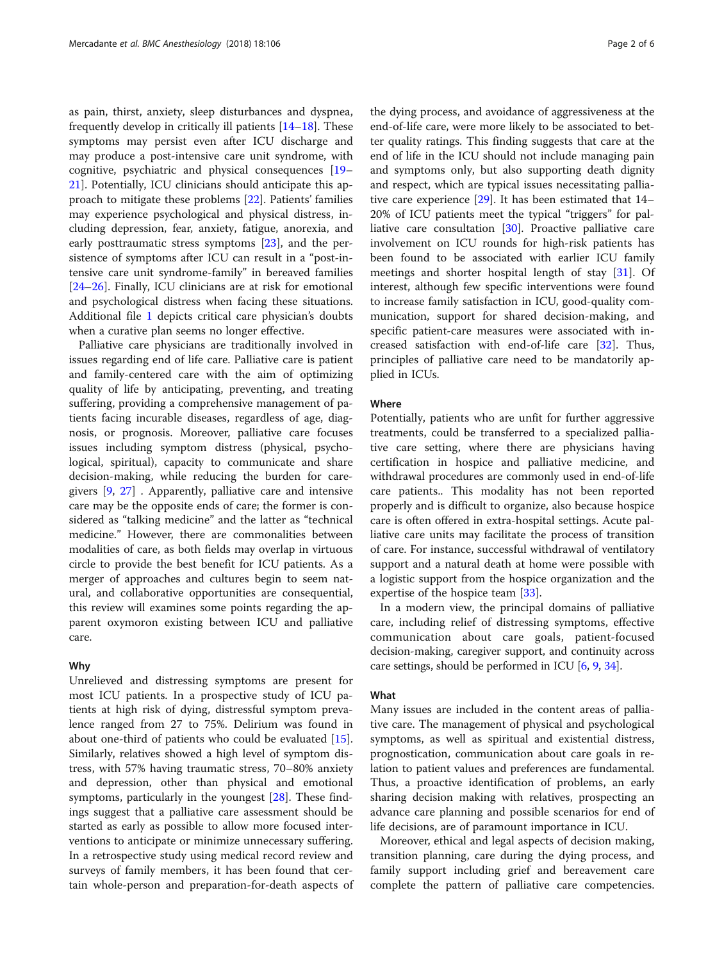as pain, thirst, anxiety, sleep disturbances and dyspnea, frequently develop in critically ill patients  $[14–18]$  $[14–18]$  $[14–18]$  $[14–18]$ . These symptoms may persist even after ICU discharge and may produce a post-intensive care unit syndrome, with cognitive, psychiatric and physical consequences [[19](#page-5-0)– [21\]](#page-5-0). Potentially, ICU clinicians should anticipate this approach to mitigate these problems [[22\]](#page-5-0). Patients' families may experience psychological and physical distress, including depression, fear, anxiety, fatigue, anorexia, and early posttraumatic stress symptoms [[23\]](#page-5-0), and the persistence of symptoms after ICU can result in a "post-intensive care unit syndrome-family" in bereaved families [[24](#page-5-0)–[26](#page-5-0)]. Finally, ICU clinicians are at risk for emotional and psychological distress when facing these situations. Additional file [1](#page-4-0) depicts critical care physician's doubts when a curative plan seems no longer effective.

Palliative care physicians are traditionally involved in issues regarding end of life care. Palliative care is patient and family-centered care with the aim of optimizing quality of life by anticipating, preventing, and treating suffering, providing a comprehensive management of patients facing incurable diseases, regardless of age, diagnosis, or prognosis. Moreover, palliative care focuses issues including symptom distress (physical, psychological, spiritual), capacity to communicate and share decision-making, while reducing the burden for caregivers [[9,](#page-4-0) [27\]](#page-5-0) . Apparently, palliative care and intensive care may be the opposite ends of care; the former is considered as "talking medicine" and the latter as "technical medicine." However, there are commonalities between modalities of care, as both fields may overlap in virtuous circle to provide the best benefit for ICU patients. As a merger of approaches and cultures begin to seem natural, and collaborative opportunities are consequential, this review will examines some points regarding the apparent oxymoron existing between ICU and palliative care.

## Why

Unrelieved and distressing symptoms are present for most ICU patients. In a prospective study of ICU patients at high risk of dying, distressful symptom prevalence ranged from 27 to 75%. Delirium was found in about one-third of patients who could be evaluated [\[15](#page-4-0)]. Similarly, relatives showed a high level of symptom distress, with 57% having traumatic stress, 70–80% anxiety and depression, other than physical and emotional symptoms, particularly in the youngest [[28](#page-5-0)]. These findings suggest that a palliative care assessment should be started as early as possible to allow more focused interventions to anticipate or minimize unnecessary suffering. In a retrospective study using medical record review and surveys of family members, it has been found that certain whole-person and preparation-for-death aspects of

the dying process, and avoidance of aggressiveness at the end-of-life care, were more likely to be associated to better quality ratings. This finding suggests that care at the end of life in the ICU should not include managing pain and symptoms only, but also supporting death dignity and respect, which are typical issues necessitating palliative care experience  $[29]$ . It has been estimated that  $14-$ 20% of ICU patients meet the typical "triggers" for palliative care consultation [[30\]](#page-5-0). Proactive palliative care involvement on ICU rounds for high-risk patients has been found to be associated with earlier ICU family meetings and shorter hospital length of stay [[31](#page-5-0)]. Of interest, although few specific interventions were found to increase family satisfaction in ICU, good-quality communication, support for shared decision-making, and specific patient-care measures were associated with increased satisfaction with end-of-life care [[32\]](#page-5-0). Thus, principles of palliative care need to be mandatorily applied in ICUs.

### Where

Potentially, patients who are unfit for further aggressive treatments, could be transferred to a specialized palliative care setting, where there are physicians having certification in hospice and palliative medicine, and withdrawal procedures are commonly used in end-of-life care patients.. This modality has not been reported properly and is difficult to organize, also because hospice care is often offered in extra-hospital settings. Acute palliative care units may facilitate the process of transition of care. For instance, successful withdrawal of ventilatory support and a natural death at home were possible with a logistic support from the hospice organization and the expertise of the hospice team [[33\]](#page-5-0).

In a modern view, the principal domains of palliative care, including relief of distressing symptoms, effective communication about care goals, patient-focused decision-making, caregiver support, and continuity across care settings, should be performed in ICU [\[6](#page-4-0), [9,](#page-4-0) [34\]](#page-5-0).

## What

Many issues are included in the content areas of palliative care. The management of physical and psychological symptoms, as well as spiritual and existential distress, prognostication, communication about care goals in relation to patient values and preferences are fundamental. Thus, a proactive identification of problems, an early sharing decision making with relatives, prospecting an advance care planning and possible scenarios for end of life decisions, are of paramount importance in ICU.

Moreover, ethical and legal aspects of decision making, transition planning, care during the dying process, and family support including grief and bereavement care complete the pattern of palliative care competencies.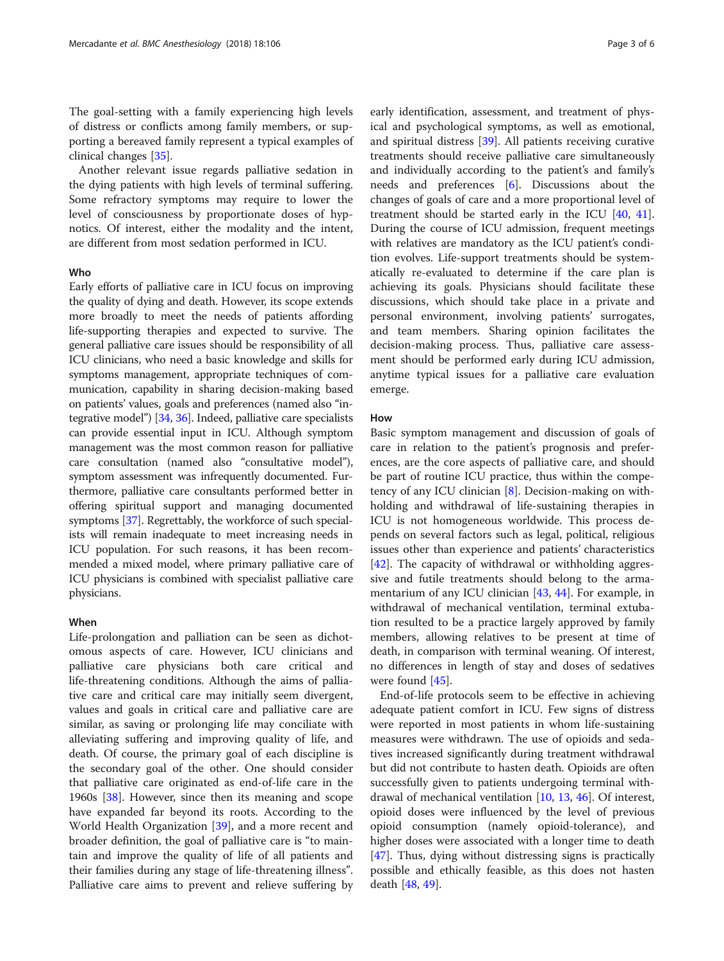The goal-setting with a family experiencing high levels of distress or conflicts among family members, or supporting a bereaved family represent a typical examples of clinical changes [[35\]](#page-5-0).

Another relevant issue regards palliative sedation in the dying patients with high levels of terminal suffering. Some refractory symptoms may require to lower the level of consciousness by proportionate doses of hypnotics. Of interest, either the modality and the intent, are different from most sedation performed in ICU.

## Who

Early efforts of palliative care in ICU focus on improving the quality of dying and death. However, its scope extends more broadly to meet the needs of patients affording life-supporting therapies and expected to survive. The general palliative care issues should be responsibility of all ICU clinicians, who need a basic knowledge and skills for symptoms management, appropriate techniques of communication, capability in sharing decision-making based on patients' values, goals and preferences (named also "integrative model") [\[34](#page-5-0), [36](#page-5-0)]. Indeed, palliative care specialists can provide essential input in ICU. Although symptom management was the most common reason for palliative care consultation (named also "consultative model"), symptom assessment was infrequently documented. Furthermore, palliative care consultants performed better in offering spiritual support and managing documented symptoms [\[37](#page-5-0)]. Regrettably, the workforce of such specialists will remain inadequate to meet increasing needs in ICU population. For such reasons, it has been recommended a mixed model, where primary palliative care of ICU physicians is combined with specialist palliative care physicians.

## When

Life-prolongation and palliation can be seen as dichotomous aspects of care. However, ICU clinicians and palliative care physicians both care critical and life-threatening conditions. Although the aims of palliative care and critical care may initially seem divergent, values and goals in critical care and palliative care are similar, as saving or prolonging life may conciliate with alleviating suffering and improving quality of life, and death. Of course, the primary goal of each discipline is the secondary goal of the other. One should consider that palliative care originated as end-of-life care in the 1960s [\[38](#page-5-0)]. However, since then its meaning and scope have expanded far beyond its roots. According to the World Health Organization [\[39](#page-5-0)], and a more recent and broader definition, the goal of palliative care is "to maintain and improve the quality of life of all patients and their families during any stage of life-threatening illness". Palliative care aims to prevent and relieve suffering by

early identification, assessment, and treatment of physical and psychological symptoms, as well as emotional, and spiritual distress [[39](#page-5-0)]. All patients receiving curative treatments should receive palliative care simultaneously and individually according to the patient's and family's needs and preferences [[6\]](#page-4-0). Discussions about the changes of goals of care and a more proportional level of treatment should be started early in the ICU [[40,](#page-5-0) [41](#page-5-0)]. During the course of ICU admission, frequent meetings with relatives are mandatory as the ICU patient's condition evolves. Life-support treatments should be systematically re-evaluated to determine if the care plan is achieving its goals. Physicians should facilitate these discussions, which should take place in a private and personal environment, involving patients' surrogates, and team members. Sharing opinion facilitates the decision-making process. Thus, palliative care assessment should be performed early during ICU admission, anytime typical issues for a palliative care evaluation emerge.

#### How

Basic symptom management and discussion of goals of care in relation to the patient's prognosis and preferences, are the core aspects of palliative care, and should be part of routine ICU practice, thus within the competency of any ICU clinician [\[8](#page-4-0)]. Decision-making on withholding and withdrawal of life-sustaining therapies in ICU is not homogeneous worldwide. This process depends on several factors such as legal, political, religious issues other than experience and patients' characteristics [[42\]](#page-5-0). The capacity of withdrawal or withholding aggressive and futile treatments should belong to the armamentarium of any ICU clinician [[43,](#page-5-0) [44](#page-5-0)]. For example, in withdrawal of mechanical ventilation, terminal extubation resulted to be a practice largely approved by family members, allowing relatives to be present at time of death, in comparison with terminal weaning. Of interest, no differences in length of stay and doses of sedatives were found [\[45\]](#page-5-0).

End-of-life protocols seem to be effective in achieving adequate patient comfort in ICU. Few signs of distress were reported in most patients in whom life-sustaining measures were withdrawn. The use of opioids and sedatives increased significantly during treatment withdrawal but did not contribute to hasten death. Opioids are often successfully given to patients undergoing terminal withdrawal of mechanical ventilation [\[10](#page-4-0), [13](#page-4-0), [46\]](#page-5-0). Of interest, opioid doses were influenced by the level of previous opioid consumption (namely opioid-tolerance), and higher doses were associated with a longer time to death [[47\]](#page-5-0). Thus, dying without distressing signs is practically possible and ethically feasible, as this does not hasten death [\[48](#page-5-0), [49](#page-5-0)].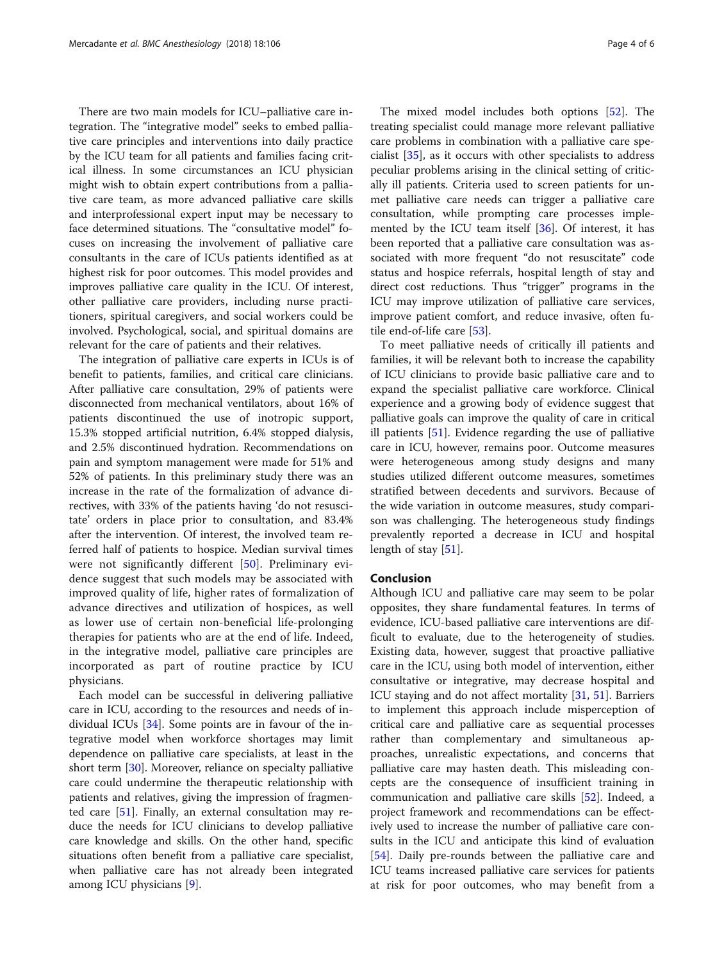There are two main models for ICU–palliative care integration. The "integrative model" seeks to embed palliative care principles and interventions into daily practice by the ICU team for all patients and families facing critical illness. In some circumstances an ICU physician might wish to obtain expert contributions from a palliative care team, as more advanced palliative care skills and interprofessional expert input may be necessary to face determined situations. The "consultative model" focuses on increasing the involvement of palliative care consultants in the care of ICUs patients identified as at highest risk for poor outcomes. This model provides and improves palliative care quality in the ICU. Of interest, other palliative care providers, including nurse practitioners, spiritual caregivers, and social workers could be involved. Psychological, social, and spiritual domains are relevant for the care of patients and their relatives.

The integration of palliative care experts in ICUs is of benefit to patients, families, and critical care clinicians. After palliative care consultation, 29% of patients were disconnected from mechanical ventilators, about 16% of patients discontinued the use of inotropic support, 15.3% stopped artificial nutrition, 6.4% stopped dialysis, and 2.5% discontinued hydration. Recommendations on pain and symptom management were made for 51% and 52% of patients. In this preliminary study there was an increase in the rate of the formalization of advance directives, with 33% of the patients having 'do not resuscitate' orders in place prior to consultation, and 83.4% after the intervention. Of interest, the involved team referred half of patients to hospice. Median survival times were not significantly different [[50\]](#page-5-0). Preliminary evidence suggest that such models may be associated with improved quality of life, higher rates of formalization of advance directives and utilization of hospices, as well as lower use of certain non-beneficial life-prolonging therapies for patients who are at the end of life. Indeed, in the integrative model, palliative care principles are incorporated as part of routine practice by ICU physicians.

Each model can be successful in delivering palliative care in ICU, according to the resources and needs of individual ICUs [\[34](#page-5-0)]. Some points are in favour of the integrative model when workforce shortages may limit dependence on palliative care specialists, at least in the short term [\[30\]](#page-5-0). Moreover, reliance on specialty palliative care could undermine the therapeutic relationship with patients and relatives, giving the impression of fragmented care [\[51](#page-5-0)]. Finally, an external consultation may reduce the needs for ICU clinicians to develop palliative care knowledge and skills. On the other hand, specific situations often benefit from a palliative care specialist, when palliative care has not already been integrated among ICU physicians [[9](#page-4-0)].

The mixed model includes both options [\[52](#page-5-0)]. The treating specialist could manage more relevant palliative care problems in combination with a palliative care specialist [[35\]](#page-5-0), as it occurs with other specialists to address peculiar problems arising in the clinical setting of critically ill patients. Criteria used to screen patients for unmet palliative care needs can trigger a palliative care consultation, while prompting care processes implemented by the ICU team itself [[36](#page-5-0)]. Of interest, it has been reported that a palliative care consultation was associated with more frequent "do not resuscitate" code status and hospice referrals, hospital length of stay and direct cost reductions. Thus "trigger" programs in the ICU may improve utilization of palliative care services, improve patient comfort, and reduce invasive, often futile end-of-life care [[53\]](#page-5-0).

To meet palliative needs of critically ill patients and families, it will be relevant both to increase the capability of ICU clinicians to provide basic palliative care and to expand the specialist palliative care workforce. Clinical experience and a growing body of evidence suggest that palliative goals can improve the quality of care in critical ill patients [\[51](#page-5-0)]. Evidence regarding the use of palliative care in ICU, however, remains poor. Outcome measures were heterogeneous among study designs and many studies utilized different outcome measures, sometimes stratified between decedents and survivors. Because of the wide variation in outcome measures, study comparison was challenging. The heterogeneous study findings prevalently reported a decrease in ICU and hospital length of stay [[51\]](#page-5-0).

## Conclusion

Although ICU and palliative care may seem to be polar opposites, they share fundamental features. In terms of evidence, ICU-based palliative care interventions are difficult to evaluate, due to the heterogeneity of studies. Existing data, however, suggest that proactive palliative care in the ICU, using both model of intervention, either consultative or integrative, may decrease hospital and ICU staying and do not affect mortality [\[31](#page-5-0), [51](#page-5-0)]. Barriers to implement this approach include misperception of critical care and palliative care as sequential processes rather than complementary and simultaneous approaches, unrealistic expectations, and concerns that palliative care may hasten death. This misleading concepts are the consequence of insufficient training in communication and palliative care skills [[52\]](#page-5-0). Indeed, a project framework and recommendations can be effectively used to increase the number of palliative care consults in the ICU and anticipate this kind of evaluation [[54\]](#page-5-0). Daily pre-rounds between the palliative care and ICU teams increased palliative care services for patients at risk for poor outcomes, who may benefit from a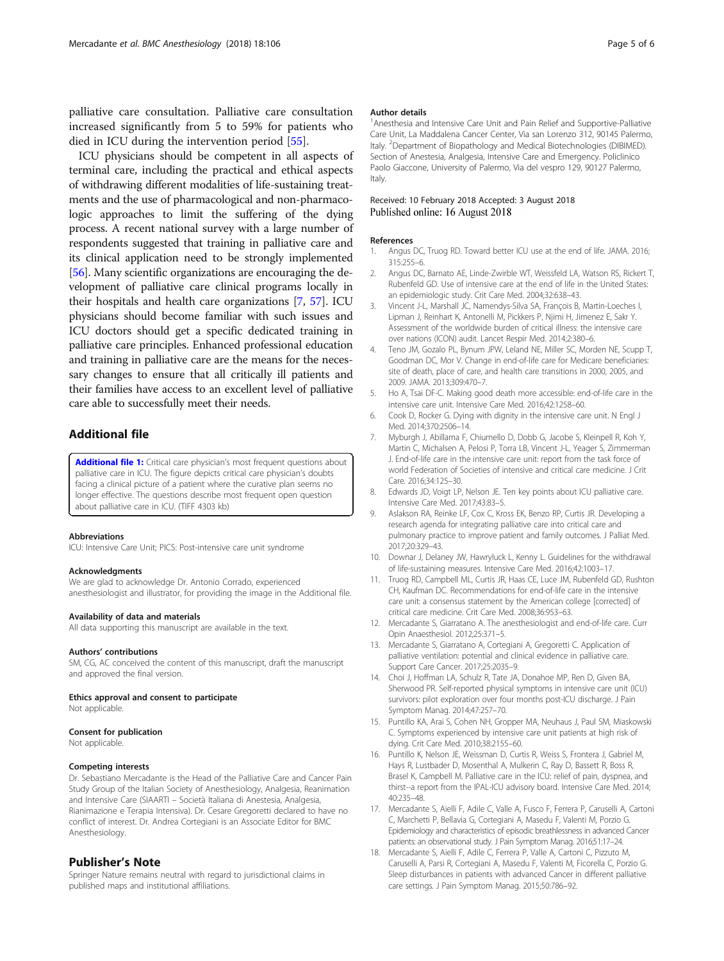<span id="page-4-0"></span>palliative care consultation. Palliative care consultation increased significantly from 5 to 59% for patients who died in ICU during the intervention period [\[55\]](#page-5-0).

ICU physicians should be competent in all aspects of terminal care, including the practical and ethical aspects of withdrawing different modalities of life-sustaining treatments and the use of pharmacological and non-pharmacologic approaches to limit the suffering of the dying process. A recent national survey with a large number of respondents suggested that training in palliative care and its clinical application need to be strongly implemented [[56](#page-5-0)]. Many scientific organizations are encouraging the development of palliative care clinical programs locally in their hospitals and health care organizations [7, [57\]](#page-5-0). ICU physicians should become familiar with such issues and ICU doctors should get a specific dedicated training in palliative care principles. Enhanced professional education and training in palliative care are the means for the necessary changes to ensure that all critically ill patients and their families have access to an excellent level of palliative care able to successfully meet their needs.

## Additional file

[Additional file 1:](https://doi.org/10.1186/s12871-018-0574-9) Critical care physician's most frequent questions about palliative care in ICU. The figure depicts critical care physician's doubts facing a clinical picture of a patient where the curative plan seems no longer effective. The questions describe most frequent open question about palliative care in ICU. (TIFF 4303 kb)

#### Abbreviations

ICU: Intensive Care Unit; PICS: Post-intensive care unit syndrome

#### Acknowledgments

We are glad to acknowledge Dr. Antonio Corrado, experienced anesthesiologist and illustrator, for providing the image in the Additional file.

#### Availability of data and materials

All data supporting this manuscript are available in the text.

#### Authors' contributions

SM, CG, AC conceived the content of this manuscript, draft the manuscript and approved the final version.

#### Ethics approval and consent to participate

Not applicable.

#### Consent for publication

Not applicable.

#### Competing interests

Dr. Sebastiano Mercadante is the Head of the Palliative Care and Cancer Pain Study Group of the Italian Society of Anesthesiology, Analgesia, Reanimation and Intensive Care (SIAARTI – Società Italiana di Anestesia, Analgesia, Rianimazione e Terapia Intensiva). Dr. Cesare Gregoretti declared to have no conflict of interest. Dr. Andrea Cortegiani is an Associate Editor for BMC Anesthesiology.

## Publisher's Note

Springer Nature remains neutral with regard to jurisdictional claims in published maps and institutional affiliations.

#### Author details

<sup>1</sup> Anesthesia and Intensive Care Unit and Pain Relief and Supportive-Palliative Care Unit, La Maddalena Cancer Center, Via san Lorenzo 312, 90145 Palermo, Italy. <sup>2</sup>Department of Biopathology and Medical Biotechnologies (DIBIMED) Section of Anestesia, Analgesia, Intensive Care and Emergency. Policlinico Paolo Giaccone, University of Palermo, Via del vespro 129, 90127 Palermo, Italy.

## Received: 10 February 2018 Accepted: 3 August 2018 Published online: 16 August 2018

### References

- 1. Angus DC, Truog RD. Toward better ICU use at the end of life. JAMA. 2016; 315:255–6.
- 2. Angus DC, Barnato AE, Linde-Zwirble WT, Weissfeld LA, Watson RS, Rickert T, Rubenfeld GD. Use of intensive care at the end of life in the United States: an epidemiologic study. Crit Care Med. 2004;32:638–43.
- 3. Vincent J-L, Marshall JC, Namendys-Silva SA, François B, Martin-Loeches I, Lipman J, Reinhart K, Antonelli M, Pickkers P, Njimi H, Jimenez E, Sakr Y. Assessment of the worldwide burden of critical illness: the intensive care over nations (ICON) audit. Lancet Respir Med. 2014;2:380–6.
- Teno JM, Gozalo PL, Bynum JPW, Leland NE, Miller SC, Morden NE, Scupp T, Goodman DC, Mor V. Change in end-of-life care for Medicare beneficiaries: site of death, place of care, and health care transitions in 2000, 2005, and 2009. JAMA. 2013;309:470–7.
- 5. Ho A, Tsai DF-C. Making good death more accessible: end-of-life care in the intensive care unit. Intensive Care Med. 2016;42:1258–60.
- 6. Cook D, Rocker G. Dying with dignity in the intensive care unit. N Engl J Med. 2014;370:2506–14.
- 7. Myburgh J, Abillama F, Chiumello D, Dobb G, Jacobe S, Kleinpell R, Koh Y, Martin C, Michalsen A, Pelosi P, Torra LB, Vincent J-L, Yeager S, Zimmerman J. End-of-life care in the intensive care unit: report from the task force of world Federation of Societies of intensive and critical care medicine. J Crit Care. 2016;34:125–30.
- 8. Edwards JD, Voigt LP, Nelson JE. Ten key points about ICU palliative care. Intensive Care Med. 2017;43:83–5.
- 9. Aslakson RA, Reinke LF, Cox C, Kross EK, Benzo RP, Curtis JR. Developing a research agenda for integrating palliative care into critical care and pulmonary practice to improve patient and family outcomes. J Palliat Med. 2017;20:329–43.
- 10. Downar J, Delaney JW, Hawryluck L, Kenny L. Guidelines for the withdrawal of life-sustaining measures. Intensive Care Med. 2016;42:1003–17.
- 11. Truog RD, Campbell ML, Curtis JR, Haas CE, Luce JM, Rubenfeld GD, Rushton CH, Kaufman DC. Recommendations for end-of-life care in the intensive care unit: a consensus statement by the American college [corrected] of critical care medicine. Crit Care Med. 2008;36:953–63.
- 12. Mercadante S, Giarratano A. The anesthesiologist and end-of-life care. Curr Opin Anaesthesiol. 2012;25:371–5.
- 13. Mercadante S, Giarratano A, Cortegiani A, Gregoretti C. Application of palliative ventilation: potential and clinical evidence in palliative care. Support Care Cancer. 2017;25:2035–9.
- 14. Choi J, Hoffman LA, Schulz R, Tate JA, Donahoe MP, Ren D, Given BA, Sherwood PR. Self-reported physical symptoms in intensive care unit (ICU) survivors: pilot exploration over four months post-ICU discharge. J Pain Symptom Manag. 2014;47:257–70.
- 15. Puntillo KA, Arai S, Cohen NH, Gropper MA, Neuhaus J, Paul SM, Miaskowski C. Symptoms experienced by intensive care unit patients at high risk of dying. Crit Care Med. 2010;38:2155–60.
- 16. Puntillo K, Nelson JE, Weissman D, Curtis R, Weiss S, Frontera J, Gabriel M, Hays R, Lustbader D, Mosenthal A, Mulkerin C, Ray D, Bassett R, Boss R, Brasel K, Campbell M. Palliative care in the ICU: relief of pain, dyspnea, and thirst--a report from the IPAL-ICU advisory board. Intensive Care Med. 2014; 40:235–48.
- 17. Mercadante S, Aielli F, Adile C, Valle A, Fusco F, Ferrera P, Caruselli A, Cartoni C, Marchetti P, Bellavia G, Cortegiani A, Masedu F, Valenti M, Porzio G. Epidemiology and characteristics of episodic breathlessness in advanced Cancer patients: an observational study. J Pain Symptom Manag. 2016;51:17–24.
- 18. Mercadante S, Aielli F, Adile C, Ferrera P, Valle A, Cartoni C, Pizzuto M, Caruselli A, Parsi R, Cortegiani A, Masedu F, Valenti M, Ficorella C, Porzio G. Sleep disturbances in patients with advanced Cancer in different palliative care settings. J Pain Symptom Manag. 2015;50:786–92.